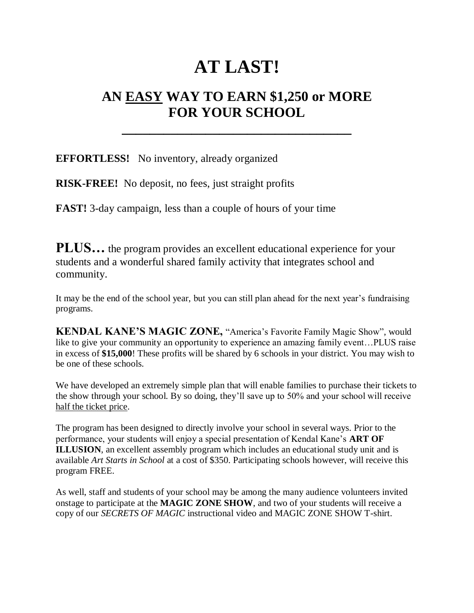## **AT LAST!**

## **AN EASY WAY TO EARN \$1,250 or MORE FOR YOUR SCHOOL**

**\_\_\_\_\_\_\_\_\_\_\_\_\_\_\_\_\_\_\_\_\_\_\_\_\_\_\_\_\_\_\_\_\_**

**EFFORTLESS!** No inventory, already organized

**RISK-FREE!** No deposit, no fees, just straight profits

**FAST!** 3-day campaign, less than a couple of hours of your time

**PLUS...** the program provides an excellent educational experience for your students and a wonderful shared family activity that integrates school and community.

It may be the end of the school year, but you can still plan ahead for the next year's fundraising programs.

**KENDAL KANE'S MAGIC ZONE,** "America's Favorite Family Magic Show", would like to give your community an opportunity to experience an amazing family event…PLUS raise in excess of **\$15,000**! These profits will be shared by 6 schools in your district. You may wish to be one of these schools.

We have developed an extremely simple plan that will enable families to purchase their tickets to the show through your school. By so doing, they'll save up to 50% and your school will receive half the ticket price.

The program has been designed to directly involve your school in several ways. Prior to the performance, your students will enjoy a special presentation of Kendal Kane's **ART OF ILLUSION**, an excellent assembly program which includes an educational study unit and is available *Art Starts in School* at a cost of \$350. Participating schools however, will receive this program FREE.

As well, staff and students of your school may be among the many audience volunteers invited onstage to participate at the **MAGIC ZONE SHOW**, and two of your students will receive a copy of our *SECRETS OF MAGIC* instructional video and MAGIC ZONE SHOW T-shirt.